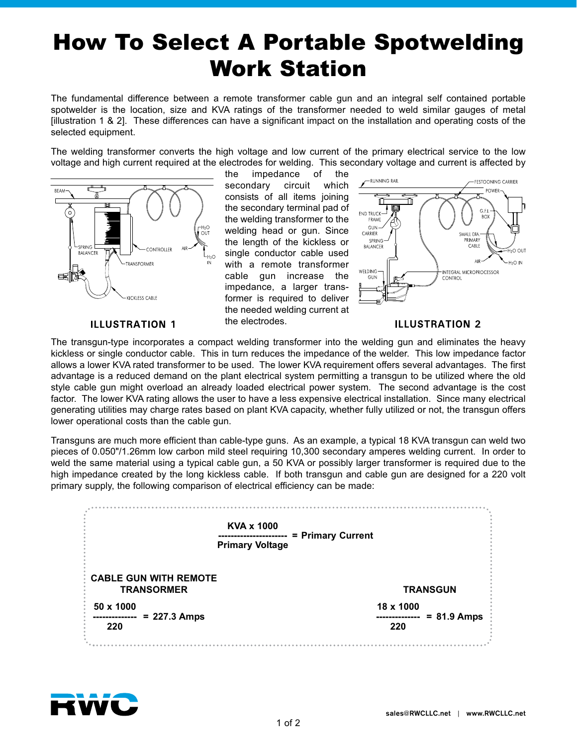## How To Select A Portable Spotwelding Work Station

The fundamental difference between a remote transformer cable gun and an integral self contained portable spotwelder is the location, size and KVA ratings of the transformer needed to weld similar gauges of metal [illustration 1 & 2]. These differences can have a significant impact on the installation and operating costs of the selected equipment.

The welding transformer converts the high voltage and low current of the primary electrical service to the low voltage and high current required at the electrodes for welding. This secondary voltage and current is affected by



the impedance of the secondary circuit which consists of all items joining the secondary terminal pad of the welding transformer to the welding head or gun. Since the length of the kickless or single conductor cable used with a remote transformer cable gun increase the impedance, a larger transformer is required to deliver the needed welding current at the electrodes.



## **ILLUSTRATION 1**

## **ILLUSTRATION 2**

The transgun-type incorporates a compact welding transformer into the welding gun and eliminates the heavy kickless or single conductor cable. This in turn reduces the impedance of the welder. This low impedance factor allows a lower KVA rated transformer to be used. The lower KVA requirement offers several advantages. The first advantage is a reduced demand on the plant electrical system permitting a transgun to be utilized where the old style cable gun might overload an already loaded electrical power system. The second advantage is the cost factor. The lower KVA rating allows the user to have a less expensive electrical installation. Since many electrical generating utilities may charge rates based on plant KVA capacity, whether fully utilized or not, the transgun offers lower operational costs than the cable gun.

Transguns are much more efficient than cable-type guns. As an example, a typical 18 KVA transgun can weld two pieces of 0.050"/1.26mm low carbon mild steel requiring 10,300 secondary amperes welding current. In order to weld the same material using a typical cable gun, a 50 KVA or possibly larger transformer is required due to the high impedance created by the long kickless cable. If both transgun and cable gun are designed for a 220 volt primary supply, the following comparison of electrical efficiency can be made:

| <b>KVA x 1000</b><br><b>Primary Voltage</b>       | = Primary Current                 |
|---------------------------------------------------|-----------------------------------|
| <b>CABLE GUN WITH REMOTE</b><br><b>TRANSORMER</b> | <b>TRANSGUN</b>                   |
| 50 x 1000<br>$= 227.3$ Amps<br>220                | 18 x 1000<br>$= 81.9$ Amps<br>220 |